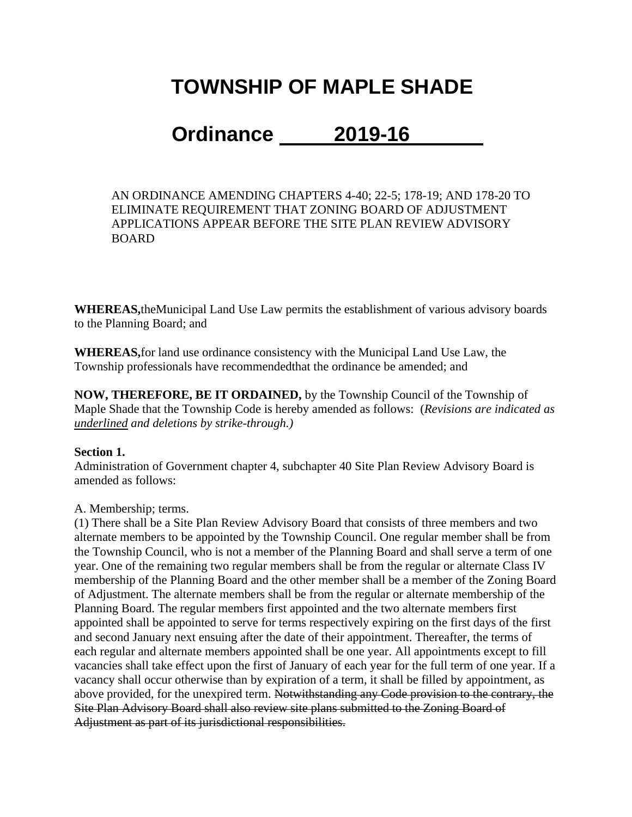# **TOWNSHIP OF MAPLE SHADE**

## **Ordinance 2019-16**

AN ORDINANCE AMENDING CHAPTERS 4-40; 22-5; 178-19; AND 178-20 TO ELIMINATE REQUIREMENT THAT ZONING BOARD OF ADJUSTMENT APPLICATIONS APPEAR BEFORE THE SITE PLAN REVIEW ADVISORY BOARD

**WHEREAS,**theMunicipal Land Use Law permits the establishment of various advisory boards to the Planning Board; and

**WHEREAS,**for land use ordinance consistency with the Municipal Land Use Law, the Township professionals have recommendedthat the ordinance be amended; and

**NOW, THEREFORE, BE IT ORDAINED,** by the Township Council of the Township of Maple Shade that the Township Code is hereby amended as follows: (*Revisions are indicated as underlined and deletions by strike-through.)*

#### **Section 1.**

Administration of Government chapter 4, subchapter 40 Site Plan Review Advisory Board is amended as follows:

#### A. Membership; terms.

(1) There shall be a Site Plan Review Advisory Board that consists of three members and two alternate members to be appointed by the Township Council. One regular member shall be from the Township Council, who is not a member of the Planning Board and shall serve a term of one year. One of the remaining two regular members shall be from the regular or alternate Class IV membership of the Planning Board and the other member shall be a member of the Zoning Board of Adjustment. The alternate members shall be from the regular or alternate membership of the Planning Board. The regular members first appointed and the two alternate members first appointed shall be appointed to serve for terms respectively expiring on the first days of the first and second January next ensuing after the date of their appointment. Thereafter, the terms of each regular and alternate members appointed shall be one year. All appointments except to fill vacancies shall take effect upon the first of January of each year for the full term of one year. If a vacancy shall occur otherwise than by expiration of a term, it shall be filled by appointment, as above provided, for the unexpired term. Notwithstanding any Code provision to the contrary, the Site Plan Advisory Board shall also review site plans submitted to the Zoning Board of Adjustment as part of its jurisdictional responsibilities.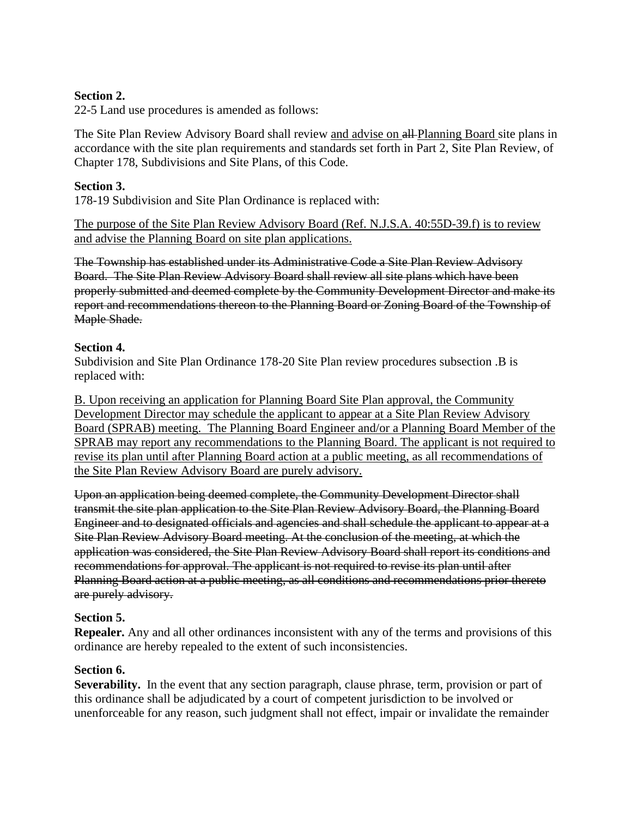#### **Section 2.**

22-5 Land use procedures is amended as follows:

The Site Plan Review Advisory Board shall review and advise on all-Planning Board site plans in accordance with the site plan requirements and standards set forth in Part 2, Site Plan Review, of Chapter 178, Subdivisions and Site Plans, of this Code.

#### **Section 3.**

178-19 Subdivision and Site Plan Ordinance is replaced with:

The purpose of the Site Plan Review Advisory Board (Ref. N.J.S.A. 40:55D-39.f) is to review and advise the Planning Board on site plan applications.

The Township has established under its Administrative Code a Site Plan Review Advisory Board. The Site Plan Review Advisory Board shall review all site plans which have been properly submitted and deemed complete by the Community Development Director and make its report and recommendations thereon to the Planning Board or Zoning Board of the Township of Maple Shade.

#### **Section 4.**

Subdivision and Site Plan Ordinance 178-20 Site Plan review procedures subsection .B is replaced with:

B. Upon receiving an application for Planning Board Site Plan approval, the Community Development Director may schedule the applicant to appear at a Site Plan Review Advisory Board (SPRAB) meeting. The Planning Board Engineer and/or a Planning Board Member of the SPRAB may report any recommendations to the Planning Board. The applicant is not required to revise its plan until after Planning Board action at a public meeting, as all recommendations of the Site Plan Review Advisory Board are purely advisory.

Upon an application being deemed complete, the Community Development Director shall transmit the site plan application to the Site Plan Review Advisory Board, the Planning Board Engineer and to designated officials and agencies and shall schedule the applicant to appear at a Site Plan Review Advisory Board meeting. At the conclusion of the meeting, at which the application was considered, the Site Plan Review Advisory Board shall report its conditions and recommendations for approval. The applicant is not required to revise its plan until after Planning Board action at a public meeting, as all conditions and recommendations prior thereto are purely advisory.

#### **Section 5.**

**Repealer.** Any and all other ordinances inconsistent with any of the terms and provisions of this ordinance are hereby repealed to the extent of such inconsistencies.

#### **Section 6.**

**Severability.** In the event that any section paragraph, clause phrase, term, provision or part of this ordinance shall be adjudicated by a court of competent jurisdiction to be involved or unenforceable for any reason, such judgment shall not effect, impair or invalidate the remainder